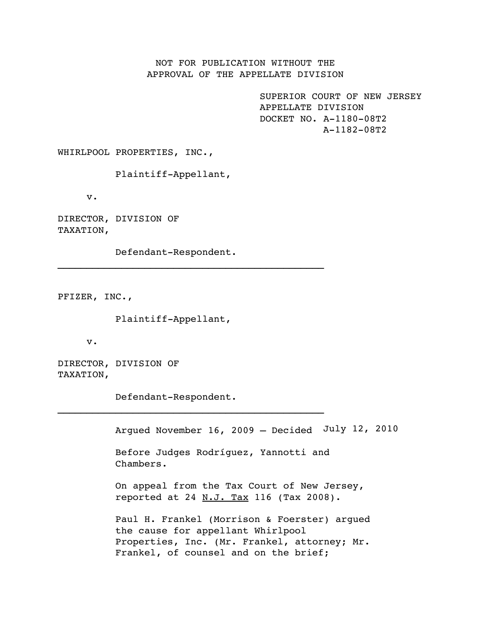NOT FOR PUBLICATION WITHOUT THE APPROVAL OF THE APPELLATE DIVISION

> SUPERIOR COURT OF NEW JERSEY APPELLATE DIVISION DOCKET NO. A-1180-08T2 A-1182-08T2

WHIRLPOOL PROPERTIES, INC.,

Plaintiff-Appellant,

v.

DIRECTOR, DIVISION OF TAXATION,

Defendant-Respondent.

 $\mathcal{L}_\text{max}$  and the contract of the contract of the contract of the contract of the contract of the contract of the contract of the contract of the contract of the contract of the contract of the contract of the contrac

PFIZER, INC.,

Plaintiff-Appellant,

v.

DIRECTOR, DIVISION OF TAXATION,

Defendant-Respondent.

\_\_\_\_\_\_\_\_\_\_\_\_\_\_\_\_\_\_\_\_\_\_\_\_\_\_\_\_\_\_\_\_\_\_\_\_\_\_\_\_\_\_\_\_\_\_

Argued November 16, 2009 – Decided July 12, 2010

Before Judges Rodríguez, Yannotti and Chambers.

On appeal from the Tax Court of New Jersey, reported at 24  $N.J.$  Tax 116 (Tax 2008).

Paul H. Frankel (Morrison & Foerster) argued the cause for appellant Whirlpool Properties, Inc. (Mr. Frankel, attorney; Mr. Frankel, of counsel and on the brief;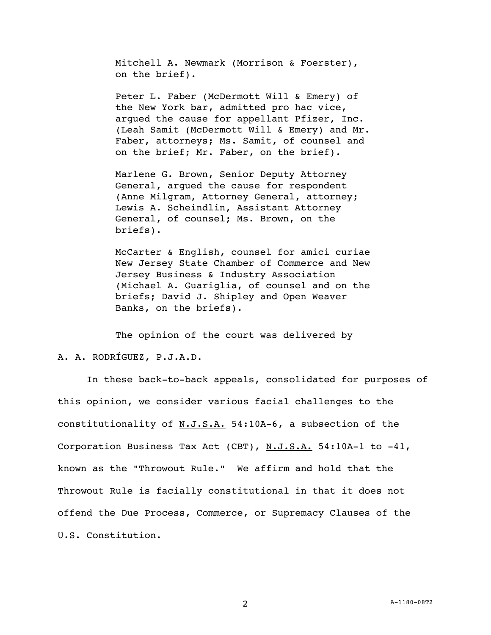Mitchell A. Newmark (Morrison & Foerster), on the brief).

Peter L. Faber (McDermott Will & Emery) of the New York bar, admitted pro hac vice, argued the cause for appellant Pfizer, Inc. (Leah Samit (McDermott Will & Emery) and Mr. Faber, attorneys; Ms. Samit, of counsel and on the brief; Mr. Faber, on the brief).

Marlene G. Brown, Senior Deputy Attorney General, argued the cause for respondent (Anne Milgram, Attorney General, attorney; Lewis A. Scheindlin, Assistant Attorney General, of counsel; Ms. Brown, on the briefs).

McCarter & English, counsel for amici curiae New Jersey State Chamber of Commerce and New Jersey Business & Industry Association (Michael A. Guariglia, of counsel and on the briefs; David J. Shipley and Open Weaver Banks, on the briefs).

The opinion of the court was delivered by

### A. A. RODRÍGUEZ, P.J.A.D.

 In these back-to-back appeals, consolidated for purposes of this opinion, we consider various facial challenges to the constitutionality of N.J.S.A. 54:10A-6, a subsection of the Corporation Business Tax Act (CBT), N.J.S.A. 54:10A-1 to -41, known as the "Throwout Rule." We affirm and hold that the Throwout Rule is facially constitutional in that it does not offend the Due Process, Commerce, or Supremacy Clauses of the U.S. Constitution.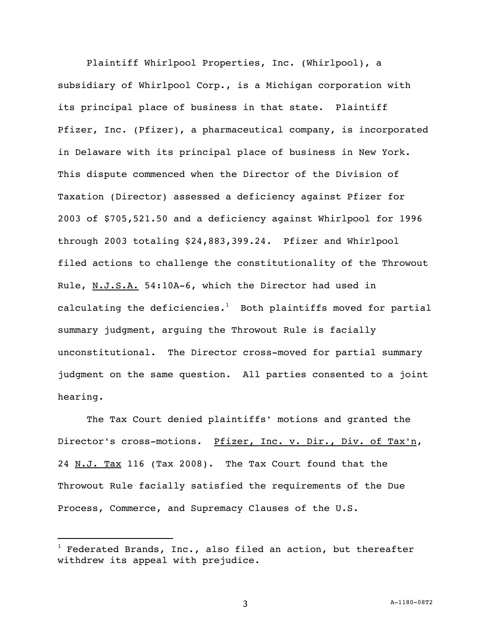Plaintiff Whirlpool Properties, Inc. (Whirlpool), a subsidiary of Whirlpool Corp., is a Michigan corporation with its principal place of business in that state. Plaintiff Pfizer, Inc. (Pfizer), a pharmaceutical company, is incorporated in Delaware with its principal place of business in New York. This dispute commenced when the Director of the Division of Taxation (Director) assessed a deficiency against Pfizer for 2003 of \$705,521.50 and a deficiency against Whirlpool for 1996 through 2003 totaling \$24,883,399.24. Pfizer and Whirlpool filed actions to challenge the constitutionality of the Throwout Rule, N.J.S.A. 54:10A-6, which the Director had used in calculating the deficiencies. $^1$  Both plaintiffs moved for partial summary judgment, arguing the Throwout Rule is facially unconstitutional. The Director cross-moved for partial summary judgment on the same question. All parties consented to a joint hearing.

The Tax Court denied plaintiffs' motions and granted the Director's cross-motions. Pfizer, Inc. v. Dir., Div. of Tax'n, 24 N.J. Tax 116 (Tax 2008). The Tax Court found that the Throwout Rule facially satisfied the requirements of the Due Process, Commerce, and Supremacy Clauses of the U.S.

i<br>L

 $^1$  Federated Brands, Inc., also filed an action, but thereafter withdrew its appeal with prejudice.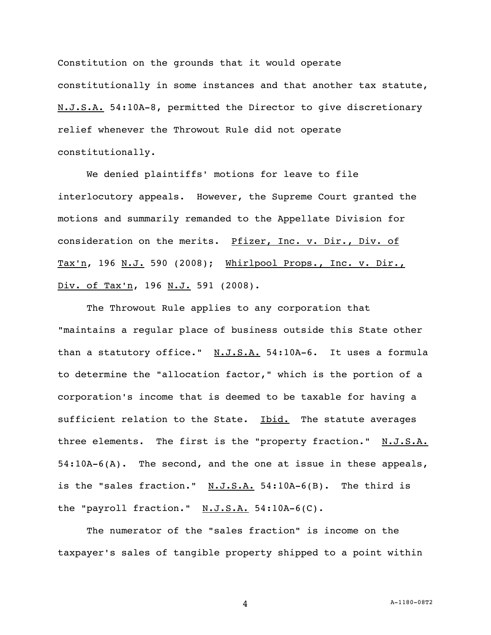Constitution on the grounds that it would operate constitutionally in some instances and that another tax statute, N.J.S.A. 54:10A-8, permitted the Director to give discretionary relief whenever the Throwout Rule did not operate constitutionally.

 We denied plaintiffs' motions for leave to file interlocutory appeals. However, the Supreme Court granted the motions and summarily remanded to the Appellate Division for consideration on the merits. Pfizer, Inc. v. Dir., Div. of Tax'n, 196 N.J. 590 (2008); Whirlpool Props., Inc. v. Dir., Div. of Tax'n, 196 N.J. 591 (2008).

The Throwout Rule applies to any corporation that "maintains a regular place of business outside this State other than a statutory office." N.J.S.A. 54:10A-6. It uses a formula to determine the "allocation factor," which is the portion of a corporation's income that is deemed to be taxable for having a sufficient relation to the State. Ibid. The statute averages three elements. The first is the "property fraction." N.J.S.A. 54:10A-6(A). The second, and the one at issue in these appeals, is the "sales fraction."  $N.J.S.A. 54:10A-6(B)$ . The third is the "payroll fraction." N.J.S.A. 54:10A-6(C).

 The numerator of the "sales fraction" is income on the taxpayer's sales of tangible property shipped to a point within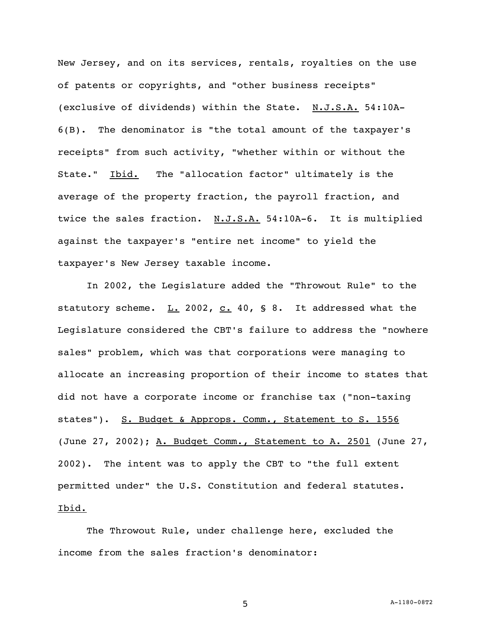New Jersey, and on its services, rentals, royalties on the use of patents or copyrights, and "other business receipts" (exclusive of dividends) within the State. N.J.S.A. 54:10A-6(B). The denominator is "the total amount of the taxpayer's receipts" from such activity, "whether within or without the State." Ibid. The "allocation factor" ultimately is the average of the property fraction, the payroll fraction, and twice the sales fraction. N.J.S.A. 54:10A-6. It is multiplied against the taxpayer's "entire net income" to yield the taxpayer's New Jersey taxable income.

 In 2002, the Legislature added the "Throwout Rule" to the statutory scheme.  $L. 2002$ , c. 40, § 8. It addressed what the Legislature considered the CBT's failure to address the "nowhere sales" problem, which was that corporations were managing to allocate an increasing proportion of their income to states that did not have a corporate income or franchise tax ("non-taxing states"). S. Budget & Approps. Comm., Statement to S. 1556 (June 27, 2002); A. Budget Comm., Statement to A. 2501 (June 27, 2002). The intent was to apply the CBT to "the full extent permitted under" the U.S. Constitution and federal statutes. Ibid.

The Throwout Rule, under challenge here, excluded the income from the sales fraction's denominator: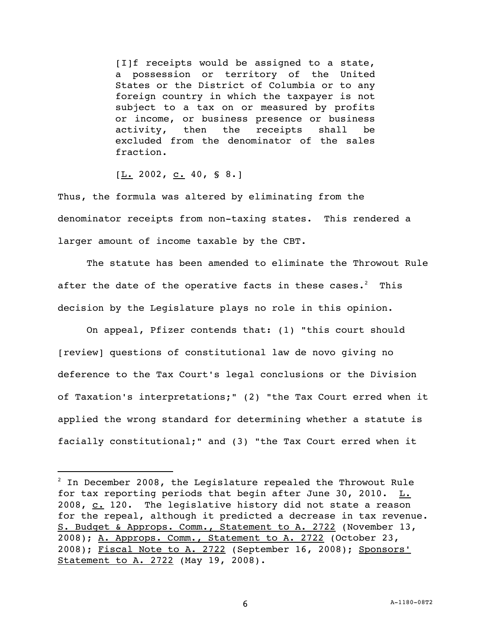[I]f receipts would be assigned to a state, a possession or territory of the United States or the District of Columbia or to any foreign country in which the taxpayer is not subject to a tax on or measured by profits or income, or business presence or business activity, then the receipts shall be excluded from the denominator of the sales fraction.

 $[\underline{L}$ . 2002, <u>c.</u> 40, § 8.]

i<br>L

Thus, the formula was altered by eliminating from the denominator receipts from non-taxing states. This rendered a larger amount of income taxable by the CBT.

 The statute has been amended to eliminate the Throwout Rule after the date of the operative facts in these cases. $^2$  This decision by the Legislature plays no role in this opinion.

 On appeal, Pfizer contends that: (1) "this court should [review] questions of constitutional law de novo giving no deference to the Tax Court's legal conclusions or the Division of Taxation's interpretations;" (2) "the Tax Court erred when it applied the wrong standard for determining whether a statute is facially constitutional;" and (3) "the Tax Court erred when it

 $^2$  In December 2008, the Legislature repealed the Throwout Rule for tax reporting periods that begin after June 30, 2010.  $L.$ 2008, c. 120. The legislative history did not state a reason for the repeal, although it predicted a decrease in tax revenue. S. Budget & Approps. Comm., Statement to A. 2722 (November 13, 2008); A. Approps. Comm., Statement to A. 2722 (October 23, 2008); Fiscal Note to A. 2722 (September 16, 2008); Sponsors' Statement to A. 2722 (May 19, 2008).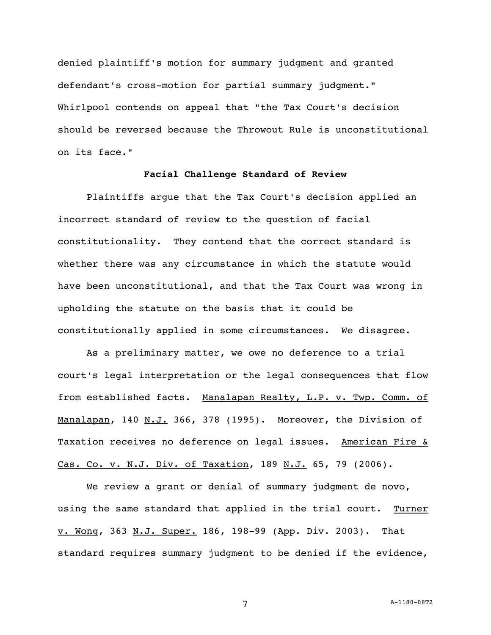denied plaintiff's motion for summary judgment and granted defendant's cross-motion for partial summary judgment." Whirlpool contends on appeal that "the Tax Court's decision should be reversed because the Throwout Rule is unconstitutional on its face."

# **Facial Challenge Standard of Review**

 Plaintiffs argue that the Tax Court's decision applied an incorrect standard of review to the question of facial constitutionality. They contend that the correct standard is whether there was any circumstance in which the statute would have been unconstitutional, and that the Tax Court was wrong in upholding the statute on the basis that it could be constitutionally applied in some circumstances. We disagree.

 As a preliminary matter, we owe no deference to a trial court's legal interpretation or the legal consequences that flow from established facts. Manalapan Realty, L.P. v. Twp. Comm. of Manalapan, 140 N.J. 366, 378 (1995). Moreover, the Division of Taxation receives no deference on legal issues. American Fire & Cas. Co. v. N.J. Div. of Taxation, 189 N.J. 65, 79 (2006).

We review a grant or denial of summary judgment de novo, using the same standard that applied in the trial court. Turner v. Wong, 363 N.J. Super. 186, 198-99 (App. Div. 2003). That standard requires summary judgment to be denied if the evidence,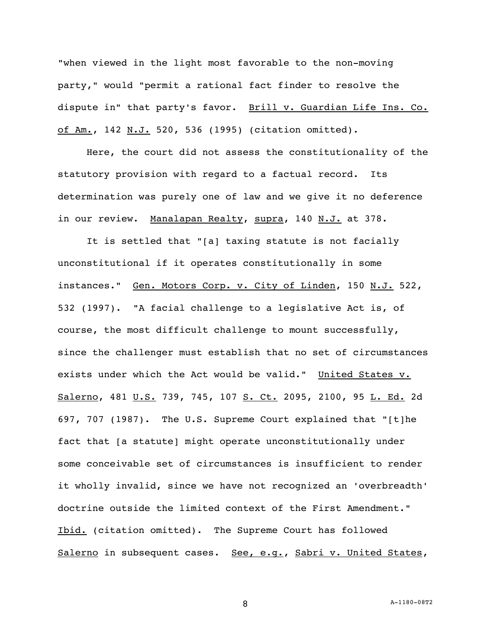"when viewed in the light most favorable to the non-moving party," would "permit a rational fact finder to resolve the dispute in" that party's favor. Brill v. Guardian Life Ins. Co. of Am., 142 N.J. 520, 536 (1995) (citation omitted).

 Here, the court did not assess the constitutionality of the statutory provision with regard to a factual record. Its determination was purely one of law and we give it no deference in our review. Manalapan Realty, supra, 140 N.J. at 378.

 It is settled that "[a] taxing statute is not facially unconstitutional if it operates constitutionally in some instances." Gen. Motors Corp. v. City of Linden, 150 N.J. 522, 532 (1997). "A facial challenge to a legislative Act is, of course, the most difficult challenge to mount successfully, since the challenger must establish that no set of circumstances exists under which the Act would be valid." United States v. Salerno, 481 U.S. 739, 745, 107 S. Ct. 2095, 2100, 95 L. Ed. 2d 697, 707 (1987). The U.S. Supreme Court explained that "[t]he fact that [a statute] might operate unconstitutionally under some conceivable set of circumstances is insufficient to render it wholly invalid, since we have not recognized an 'overbreadth' doctrine outside the limited context of the First Amendment." Ibid. (citation omitted). The Supreme Court has followed Salerno in subsequent cases. See, e.g., Sabri v. United States,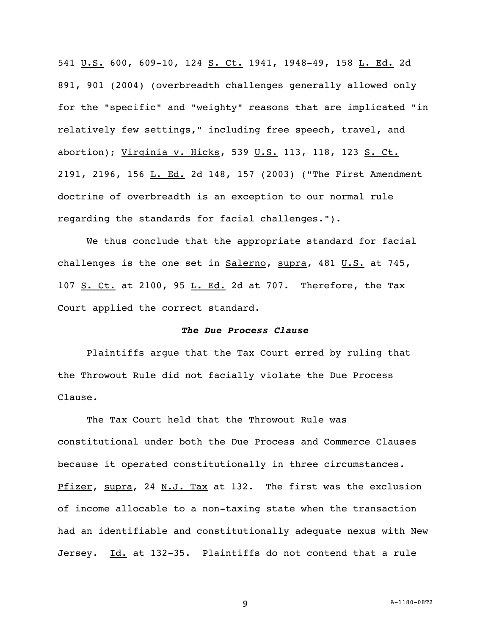541 U.S. 600, 609-10, 124 S. Ct. 1941, 1948-49, 158 L. Ed. 2d 891, 901 (2004) (overbreadth challenges generally allowed only for the "specific" and "weighty" reasons that are implicated "in relatively few settings," including free speech, travel, and abortion); Virginia v. Hicks, 539 U.S. 113, 118, 123 S. Ct. 2191, 2196, 156 L. Ed. 2d 148, 157 (2003) ("The First Amendment doctrine of overbreadth is an exception to our normal rule regarding the standards for facial challenges.").

 We thus conclude that the appropriate standard for facial challenges is the one set in  $Salerno$ , supra, 481  $U.S.$  at 745,</u> 107  $S.$  Ct. at 2100, 95  $L.$  Ed. 2d at 707. Therefore, the Tax Court applied the correct standard.

### *The Due Process Clause*

 Plaintiffs argue that the Tax Court erred by ruling that the Throwout Rule did not facially violate the Due Process Clause.

 The Tax Court held that the Throwout Rule was constitutional under both the Due Process and Commerce Clauses because it operated constitutionally in three circumstances. Pfizer, supra, 24 N.J. Tax at 132. The first was the exclusion of income allocable to a non-taxing state when the transaction had an identifiable and constitutionally adequate nexus with New Jersey. Id. at 132-35. Plaintiffs do not contend that a rule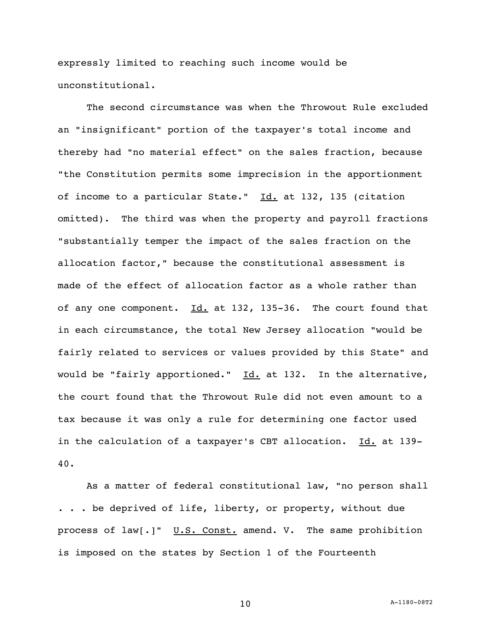expressly limited to reaching such income would be unconstitutional.

 The second circumstance was when the Throwout Rule excluded an "insignificant" portion of the taxpayer's total income and thereby had "no material effect" on the sales fraction, because "the Constitution permits some imprecision in the apportionment of income to a particular State."  $Id.$  at 132, 135 (citation omitted). The third was when the property and payroll fractions "substantially temper the impact of the sales fraction on the allocation factor," because the constitutional assessment is made of the effect of allocation factor as a whole rather than of any one component.  $Id.$  at 132, 135-36. The court found that in each circumstance, the total New Jersey allocation "would be fairly related to services or values provided by this State" and would be "fairly apportioned." Id. at 132. In the alternative, the court found that the Throwout Rule did not even amount to a tax because it was only a rule for determining one factor used in the calculation of a taxpayer's CBT allocation. Id. at 139-40.

 As a matter of federal constitutional law, "no person shall . . . be deprived of life, liberty, or property, without due process of law[.]" U.S. Const. amend. V. The same prohibition is imposed on the states by Section 1 of the Fourteenth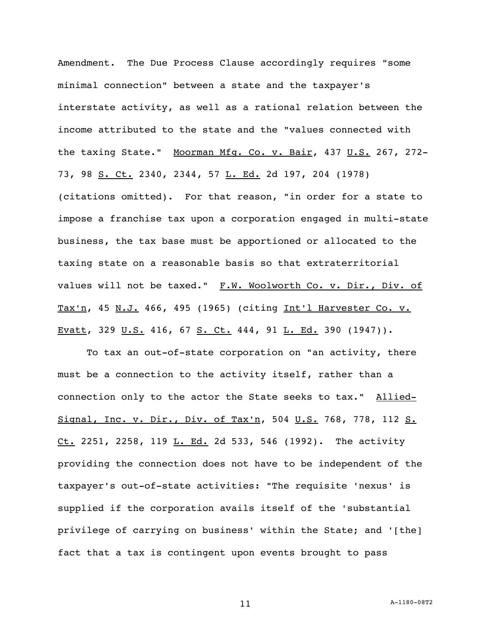Amendment. The Due Process Clause accordingly requires "some minimal connection" between a state and the taxpayer's interstate activity, as well as a rational relation between the income attributed to the state and the "values connected with the taxing State." Moorman Mfg. Co. v. Bair, 437 U.S. 267, 272-73, 98 S. Ct. 2340, 2344, 57 L. Ed. 2d 197, 204 (1978) (citations omitted). For that reason, "in order for a state to impose a franchise tax upon a corporation engaged in multi-state business, the tax base must be apportioned or allocated to the taxing state on a reasonable basis so that extraterritorial values will not be taxed." F.W. Woolworth Co. v. Dir., Div. of Tax'n, 45 N.J. 466, 495 (1965) (citing Int'l Harvester Co. v. Evatt, 329 U.S. 416, 67 S. Ct. 444, 91 L. Ed. 390 (1947)).

To tax an out-of-state corporation on "an activity, there must be a connection to the activity itself, rather than a connection only to the actor the State seeks to tax." Allied-Signal, Inc. v. Dir., Div. of Tax'n, 504 U.S. 768, 778, 112 S.  $Ct. 2251, 2258, 119 L. Ed. 2d 533, 546 (1992).$  The activity providing the connection does not have to be independent of the taxpayer's out-of-state activities: "The requisite 'nexus' is supplied if the corporation avails itself of the 'substantial privilege of carrying on business' within the State; and '[the] fact that a tax is contingent upon events brought to pass

11 A-1180-08T2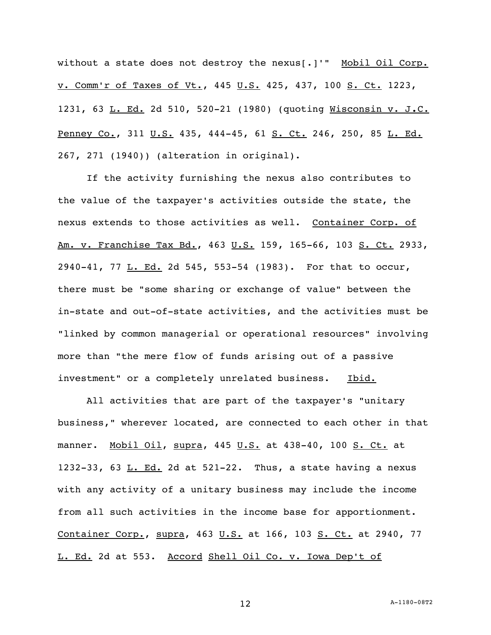without a state does not destroy the nexus[.]'" Mobil Oil Corp. v. Comm'r of Taxes of Vt., 445 U.S. 425, 437, 100 S. Ct. 1223, 1231, 63 L. Ed. 2d 510, 520-21 (1980) (quoting Wisconsin v. J.C. Penney Co., 311 U.S. 435, 444-45, 61 S. Ct. 246, 250, 85 L. Ed. 267, 271 (1940)) (alteration in original).

 If the activity furnishing the nexus also contributes to the value of the taxpayer's activities outside the state, the nexus extends to those activities as well. Container Corp. of Am. v. Franchise Tax Bd., 463 U.S. 159, 165-66, 103 S. Ct. 2933, 2940-41, 77 L. Ed. 2d 545, 553-54 (1983). For that to occur, there must be "some sharing or exchange of value" between the in-state and out-of-state activities, and the activities must be "linked by common managerial or operational resources" involving more than "the mere flow of funds arising out of a passive investment" or a completely unrelated business. Ibid.

 All activities that are part of the taxpayer's "unitary business," wherever located, are connected to each other in that manner. Mobil Oil, supra, 445 U.S. at 438-40, 100 S. Ct. at 1232-33, 63  $\underline{\text{L. Ed.}}$  2d at 521-22. Thus, a state having a nexus with any activity of a unitary business may include the income from all such activities in the income base for apportionment. Container Corp., supra, 463 U.S. at 166, 103 S. Ct. at 2940, 77 L. Ed. 2d at 553. Accord Shell Oil Co. v. Iowa Dep't of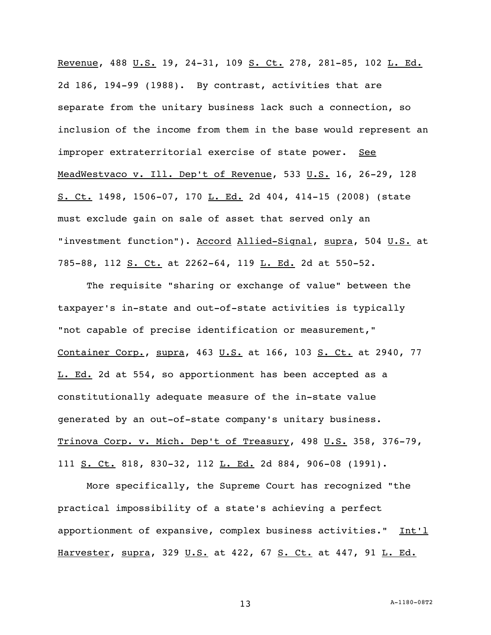Revenue, 488 U.S. 19, 24-31, 109 S. Ct. 278, 281-85, 102 L. Ed. 2d 186, 194-99 (1988). By contrast, activities that are separate from the unitary business lack such a connection, so inclusion of the income from them in the base would represent an improper extraterritorial exercise of state power. See MeadWestvaco v. Ill. Dep't of Revenue, 533 U.S. 16, 26-29, 128 S. Ct. 1498, 1506-07, 170 L. Ed. 2d 404, 414-15 (2008) (state must exclude gain on sale of asset that served only an "investment function"). Accord Allied-Signal, supra, 504 U.S. at 785-88, 112 S. Ct. at 2262-64, 119 L. Ed. 2d at 550-52.

 The requisite "sharing or exchange of value" between the taxpayer's in-state and out-of-state activities is typically "not capable of precise identification or measurement," Container Corp., supra, 463 U.S. at 166, 103 S. Ct. at 2940, 77 L. Ed. 2d at 554, so apportionment has been accepted as a constitutionally adequate measure of the in-state value generated by an out-of-state company's unitary business. Trinova Corp. v. Mich. Dep't of Treasury, 498 U.S. 358, 376-79, 111 S. Ct. 818, 830-32, 112 L. Ed. 2d 884, 906-08 (1991).

 More specifically, the Supreme Court has recognized "the practical impossibility of a state's achieving a perfect apportionment of expansive, complex business activities." Int'l Harvester, supra, 329 U.S. at 422, 67 S. Ct. at 447, 91 L. Ed.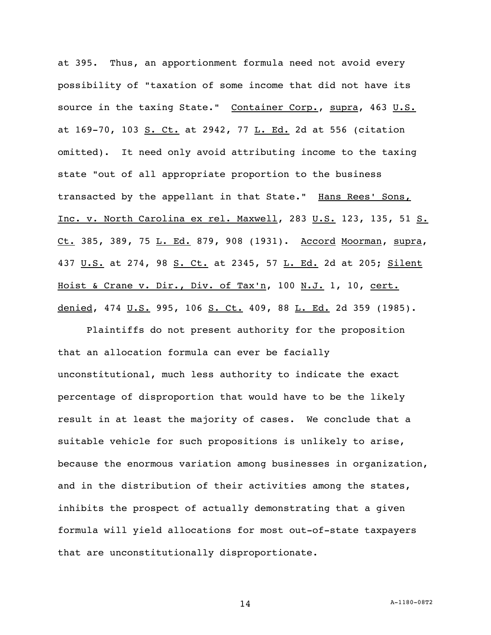at 395. Thus, an apportionment formula need not avoid every possibility of "taxation of some income that did not have its source in the taxing State." Container Corp., supra, 463 U.S. at 169-70, 103 S. Ct. at 2942, 77 L. Ed. 2d at 556 (citation omitted). It need only avoid attributing income to the taxing state "out of all appropriate proportion to the business transacted by the appellant in that State." Hans Rees' Sons, Inc. v. North Carolina ex rel. Maxwell, 283 U.S. 123, 135, 51 S. Ct. 385, 389, 75 L. Ed. 879, 908 (1931). Accord Moorman, supra, 437 U.S. at 274, 98 S. Ct. at 2345, 57 L. Ed. 2d at 205; Silent Hoist & Crane v. Dir., Div. of Tax'n, 100 N.J. 1, 10, cert. denied, 474 U.S. 995, 106 S. Ct. 409, 88 L. Ed. 2d 359 (1985).

 Plaintiffs do not present authority for the proposition that an allocation formula can ever be facially unconstitutional, much less authority to indicate the exact percentage of disproportion that would have to be the likely result in at least the majority of cases. We conclude that a suitable vehicle for such propositions is unlikely to arise, because the enormous variation among businesses in organization, and in the distribution of their activities among the states, inhibits the prospect of actually demonstrating that a given formula will yield allocations for most out-of-state taxpayers that are unconstitutionally disproportionate.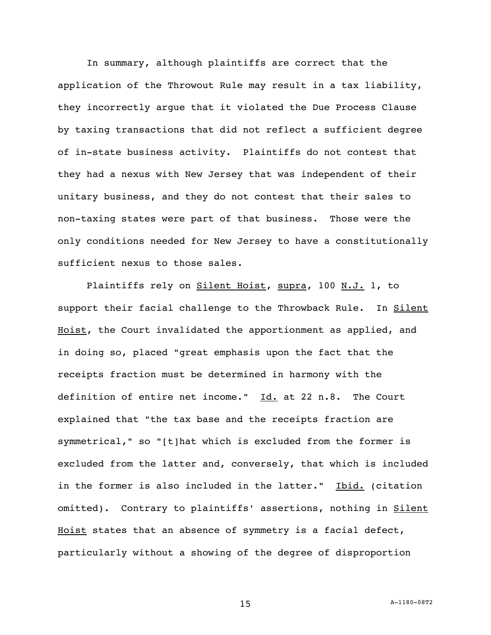In summary, although plaintiffs are correct that the application of the Throwout Rule may result in a tax liability, they incorrectly argue that it violated the Due Process Clause by taxing transactions that did not reflect a sufficient degree of in-state business activity. Plaintiffs do not contest that they had a nexus with New Jersey that was independent of their unitary business, and they do not contest that their sales to non-taxing states were part of that business. Those were the only conditions needed for New Jersey to have a constitutionally sufficient nexus to those sales.

Plaintiffs rely on Silent Hoist, supra, 100 N.J. 1, to support their facial challenge to the Throwback Rule. In Silent Hoist, the Court invalidated the apportionment as applied, and in doing so, placed "great emphasis upon the fact that the receipts fraction must be determined in harmony with the definition of entire net income." Id. at 22 n.8. The Court explained that "the tax base and the receipts fraction are symmetrical," so "[t]hat which is excluded from the former is excluded from the latter and, conversely, that which is included in the former is also included in the latter." Ibid. (citation omitted). Contrary to plaintiffs' assertions, nothing in Silent Hoist states that an absence of symmetry is a facial defect, particularly without a showing of the degree of disproportion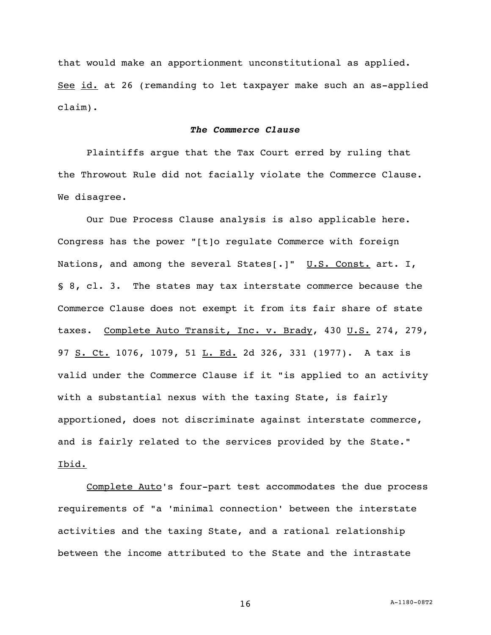that would make an apportionment unconstitutional as applied. See id. at 26 (remanding to let taxpayer make such an as-applied claim).

## *The Commerce Clause*

 Plaintiffs argue that the Tax Court erred by ruling that the Throwout Rule did not facially violate the Commerce Clause. We disagree.

Our Due Process Clause analysis is also applicable here. Congress has the power "[t]o regulate Commerce with foreign Nations, and among the several States[.]" U.S. Const. art. I, § 8, cl. 3. The states may tax interstate commerce because the Commerce Clause does not exempt it from its fair share of state taxes. Complete Auto Transit, Inc. v. Brady, 430 U.S. 274, 279, 97 S. Ct. 1076, 1079, 51 L. Ed. 2d 326, 331 (1977). A tax is valid under the Commerce Clause if it "is applied to an activity with a substantial nexus with the taxing State, is fairly apportioned, does not discriminate against interstate commerce, and is fairly related to the services provided by the State." Ibid.

 Complete Auto's four-part test accommodates the due process requirements of "a 'minimal connection' between the interstate activities and the taxing State, and a rational relationship between the income attributed to the State and the intrastate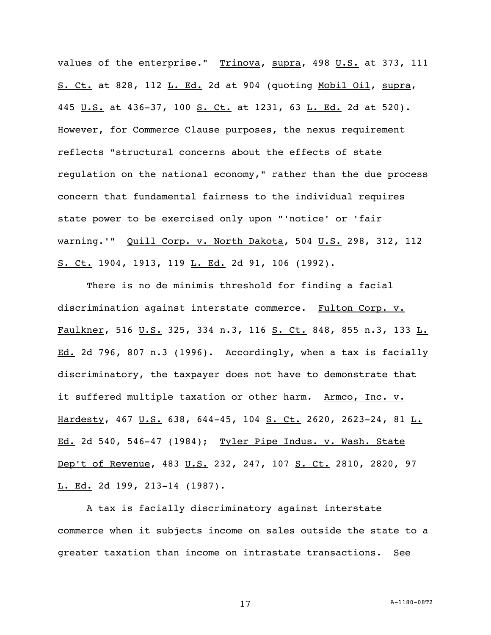values of the enterprise." Trinova, supra, 498 U.S. at 373, 111 S. Ct. at 828, 112 L. Ed. 2d at 904 (quoting Mobil Oil, supra, 445 U.S. at 436-37, 100 S. Ct. at 1231, 63 L. Ed. 2d at 520). However, for Commerce Clause purposes, the nexus requirement reflects "structural concerns about the effects of state regulation on the national economy," rather than the due process concern that fundamental fairness to the individual requires state power to be exercised only upon "'notice' or 'fair warning.'" Quill Corp. v. North Dakota, 504 U.S. 298, 312, 112 S. Ct. 1904, 1913, 119 L. Ed. 2d 91, 106 (1992).

 There is no de minimis threshold for finding a facial discrimination against interstate commerce. Fulton Corp. v. Faulkner, 516 U.S. 325, 334 n.3, 116 S. Ct. 848, 855 n.3, 133 L. Ed. 2d 796, 807 n.3 (1996). Accordingly, when a tax is facially discriminatory, the taxpayer does not have to demonstrate that it suffered multiple taxation or other harm. Armco, Inc. v. Hardesty, 467 U.S. 638, 644-45, 104 S. Ct. 2620, 2623-24, 81 L. Ed. 2d 540, 546-47 (1984); Tyler Pipe Indus. v. Wash. State Dep't of Revenue, 483 U.S. 232, 247, 107 S. Ct. 2810, 2820, 97 L. Ed. 2d 199, 213-14 (1987).

 A tax is facially discriminatory against interstate commerce when it subjects income on sales outside the state to a greater taxation than income on intrastate transactions. See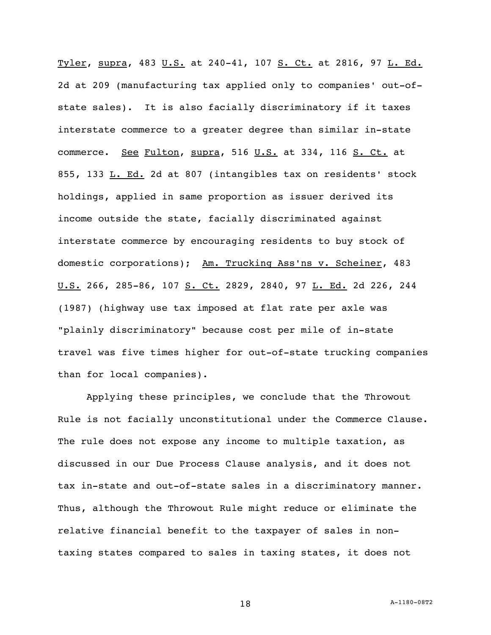Tyler, supra, 483 U.S. at 240-41, 107 S. Ct. at 2816, 97 L. Ed. 2d at 209 (manufacturing tax applied only to companies' out-ofstate sales). It is also facially discriminatory if it taxes interstate commerce to a greater degree than similar in-state commerce. See Fulton, supra, 516 U.S. at 334, 116 S. Ct. at 855, 133 L. Ed. 2d at 807 (intangibles tax on residents' stock holdings, applied in same proportion as issuer derived its income outside the state, facially discriminated against interstate commerce by encouraging residents to buy stock of domestic corporations); Am. Trucking Ass'ns v. Scheiner, 483 U.S. 266, 285-86, 107 S. Ct. 2829, 2840, 97 L. Ed. 2d 226, 244 (1987) (highway use tax imposed at flat rate per axle was "plainly discriminatory" because cost per mile of in-state travel was five times higher for out-of-state trucking companies than for local companies).

 Applying these principles, we conclude that the Throwout Rule is not facially unconstitutional under the Commerce Clause. The rule does not expose any income to multiple taxation, as discussed in our Due Process Clause analysis, and it does not tax in-state and out-of-state sales in a discriminatory manner. Thus, although the Throwout Rule might reduce or eliminate the relative financial benefit to the taxpayer of sales in nontaxing states compared to sales in taxing states, it does not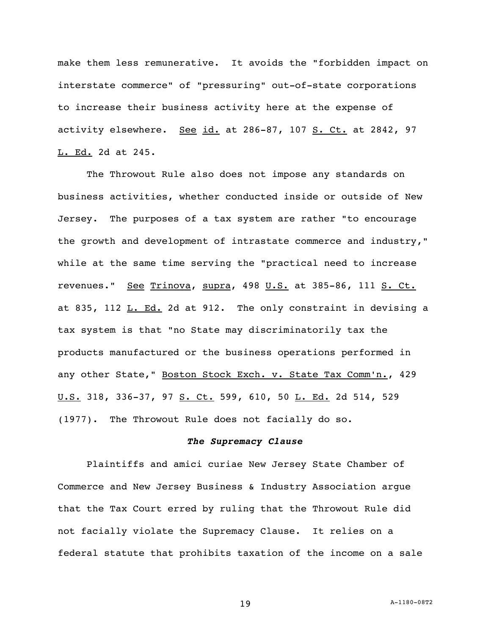make them less remunerative. It avoids the "forbidden impact on interstate commerce" of "pressuring" out-of-state corporations to increase their business activity here at the expense of activity elsewhere. See id. at 286-87, 107 S. Ct. at 2842, 97 L. Ed. 2d at 245.

 The Throwout Rule also does not impose any standards on business activities, whether conducted inside or outside of New Jersey. The purposes of a tax system are rather "to encourage the growth and development of intrastate commerce and industry," while at the same time serving the "practical need to increase revenues." See Trinova, supra, 498 U.S. at 385-86, 111 S. Ct. at 835, 112 L. Ed. 2d at 912. The only constraint in devising a tax system is that "no State may discriminatorily tax the products manufactured or the business operations performed in any other State," Boston Stock Exch. v. State Tax Comm'n., 429 U.S. 318, 336-37, 97 S. Ct. 599, 610, 50 L. Ed. 2d 514, 529 (1977). The Throwout Rule does not facially do so.

### *The Supremacy Clause*

 Plaintiffs and amici curiae New Jersey State Chamber of Commerce and New Jersey Business & Industry Association argue that the Tax Court erred by ruling that the Throwout Rule did not facially violate the Supremacy Clause. It relies on a federal statute that prohibits taxation of the income on a sale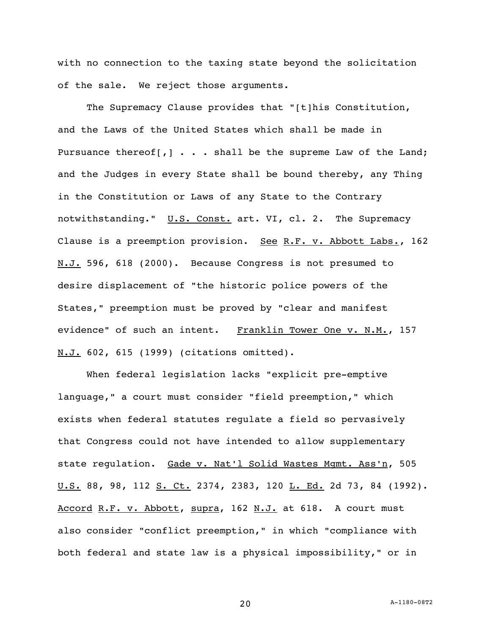with no connection to the taxing state beyond the solicitation of the sale. We reject those arguments.

The Supremacy Clause provides that "[t]his Constitution, and the Laws of the United States which shall be made in Pursuance thereof[,] . . . shall be the supreme Law of the Land; and the Judges in every State shall be bound thereby, any Thing in the Constitution or Laws of any State to the Contrary notwithstanding." U.S. Const. art. VI, cl. 2. The Supremacy Clause is a preemption provision. See R.F. v. Abbott Labs., 162 N.J. 596, 618 (2000). Because Congress is not presumed to desire displacement of "the historic police powers of the States," preemption must be proved by "clear and manifest evidence" of such an intent. Franklin Tower One v. N.M., 157 N.J. 602, 615 (1999) (citations omitted).

 When federal legislation lacks "explicit pre-emptive language," a court must consider "field preemption," which exists when federal statutes regulate a field so pervasively that Congress could not have intended to allow supplementary state regulation. Gade v. Nat'l Solid Wastes Mgmt. Ass'n, 505 U.S. 88, 98, 112 S. Ct. 2374, 2383, 120 L. Ed. 2d 73, 84 (1992). Accord R.F. v. Abbott, supra, 162 N.J. at 618. A court must also consider "conflict preemption," in which "compliance with both federal and state law is a physical impossibility," or in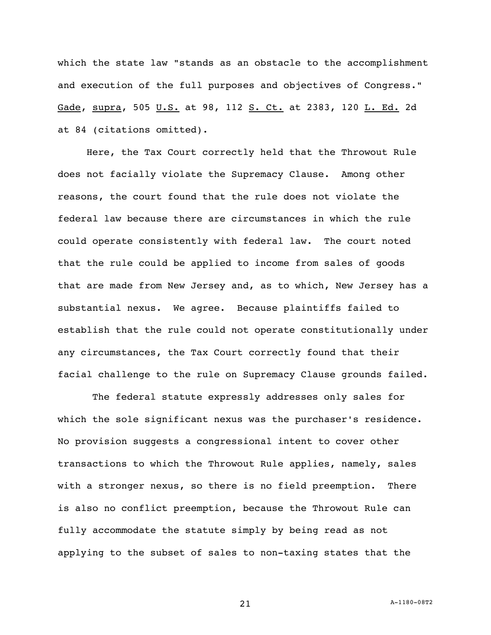which the state law "stands as an obstacle to the accomplishment and execution of the full purposes and objectives of Congress." Gade, supra, 505 U.S. at 98, 112 S. Ct. at 2383, 120 L. Ed. 2d at 84 (citations omitted).

 Here, the Tax Court correctly held that the Throwout Rule does not facially violate the Supremacy Clause. Among other reasons, the court found that the rule does not violate the federal law because there are circumstances in which the rule could operate consistently with federal law. The court noted that the rule could be applied to income from sales of goods that are made from New Jersey and, as to which, New Jersey has a substantial nexus. We agree. Because plaintiffs failed to establish that the rule could not operate constitutionally under any circumstances, the Tax Court correctly found that their facial challenge to the rule on Supremacy Clause grounds failed.

 The federal statute expressly addresses only sales for which the sole significant nexus was the purchaser's residence. No provision suggests a congressional intent to cover other transactions to which the Throwout Rule applies, namely, sales with a stronger nexus, so there is no field preemption. There is also no conflict preemption, because the Throwout Rule can fully accommodate the statute simply by being read as not applying to the subset of sales to non-taxing states that the

21 A-1180-08T2